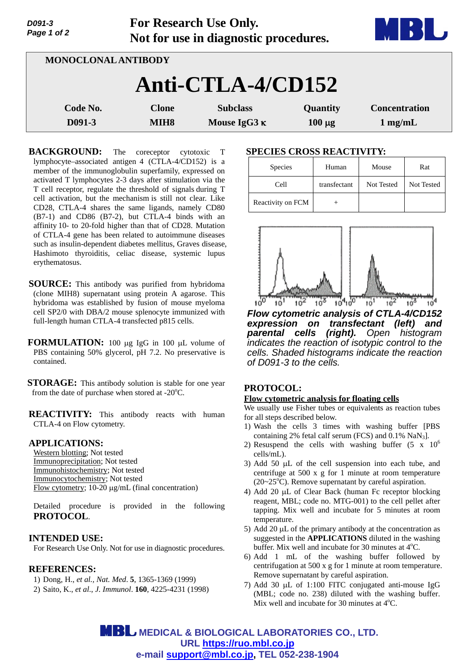| Page 1 of 2                | Not for use in diagnostic procedures. |                                        |                         |                                           |  |
|----------------------------|---------------------------------------|----------------------------------------|-------------------------|-------------------------------------------|--|
| <b>MONOCLONAL ANTIBODY</b> |                                       |                                        |                         |                                           |  |
| Anti-CTLA-4/CD152          |                                       |                                        |                         |                                           |  |
| Code No.<br>D091-3         | <b>Clone</b><br>MIH <sub>8</sub>      | <b>Subclass</b><br>Mouse IgG3 $\kappa$ | Quantity<br>$100 \mu g$ | <b>Concentration</b><br>$1 \text{ mg/mL}$ |  |

**For Research Use Only.**

**BACKGROUND:** The coreceptor cytotoxic T lymphocyte–associated antigen 4 (CTLA-4/CD152) is a member of the immunoglobulin superfamily, expressed on activated T lymphocytes 2-3 days after stimulation via the T cell receptor, regulate the threshold of signals during T cell activation, but the mechanism is still not clear. Like CD28, CTLA-4 shares the same ligands, namely CD80 (B7-1) and CD86 (B7-2), but CTLA-4 binds with an affinity 10- to 20-fold higher than that of CD28. Mutation of CTLA-4 gene has been related to autoimmune diseases such as insulin-dependent diabetes mellitus, Graves disease, Hashimoto thyroiditis, celiac disease, systemic lupus erythematosus.

- **SOURCE:** This antibody was purified from hybridoma (clone MIH8) supernatant using protein A agarose. This hybridoma was established by fusion of mouse myeloma cell SP2/0 with DBA/2 mouse splenocyte immunized with full-length human CTLA-4 transfected p815 cells.
- **FORMULATION:** 100 µg IgG in 100 µL volume of PBS containing 50% glycerol, pH 7.2. No preservative is contained.
- **STORAGE:** This antibody solution is stable for one year from the date of purchase when stored at - $20^{\circ}$ C.

**REACTIVITY:** This antibody reacts with human CTLA-4 on Flow cytometry.

## **APPLICATIONS:**

*D091-3* 

Western blotting; Not tested Immunoprecipitation; Not tested Immunohistochemistry; Not tested Immunocytochemistry; Not tested Flow cytometry;  $10-20 \mu g/mL$  (final concentration)

Detailed procedure is provided in the following **PROTOCOL**.

## **INTENDED USE:**

For Research Use Only. Not for use in diagnostic procedures.

## **REFERENCES:**

- 1) Dong, H., *et al., Nat. Med*. **5**, 1365-1369 (1999)
- 2) Saito, K., *et al*., *J. Immunol*. **160**, 4225-4231 (1998)

#### **SPECIES CROSS REACTIVITY:**

| Species           | Human        | Mouse      | Rat        |
|-------------------|--------------|------------|------------|
| Cell              | transfectant | Not Tested | Not Tested |
| Reactivity on FCM |              |            |            |



*Flow cytometric analysis of CTLA-4/CD152 expression on transfectant (left) and parental cells (right). Open histogram indicates the reaction of isotypic control to the cells. Shaded histograms indicate the reaction of D091-3 to the cells.*

## **PROTOCOL:**

#### **Flow cytometric analysis for floating cells**

We usually use Fisher tubes or equivalents as reaction tubes for all steps described below.

- 1) Wash the cells 3 times with washing buffer [PBS containing 2% fetal calf serum (FCS) and  $0.1\%$  NaN<sub>3</sub>].
- 2) Resuspend the cells with washing buffer  $(5 \times 10^6$ cells/mL).
- 3) Add 50  $\mu$ L of the cell suspension into each tube, and centrifuge at 500 x g for 1 minute at room temperature  $(20~25<sup>o</sup>C)$ . Remove supernatant by careful aspiration.
- 4) Add 20  $\mu$ L of Clear Back (human Fc receptor blocking reagent, MBL; code no. MTG-001) to the cell pellet after tapping. Mix well and incubate for 5 minutes at room temperature.
- 5) Add 20  $\mu$ L of the primary antibody at the concentration as suggested in the **APPLICATIONS** diluted in the washing buffer. Mix well and incubate for 30 minutes at  $4^{\circ}$ C.
- 6) Add 1 mL of the washing buffer followed by centrifugation at 500 x g for 1 minute at room temperature. Remove supernatant by careful aspiration.
- 7) Add 30  $\mu$ L of 1:100 FITC conjugated anti-mouse IgG (MBL; code no. 238) diluted with the washing buffer. Mix well and incubate for 30 minutes at  $4^{\circ}$ C.

**MBL** MEDICAL & BIOLOGICAL LABORATORIES CO., LTD. **URL https://ruo.mbl.co.jp e-mail support@mbl.co.jp, TEL 052-238-1904**